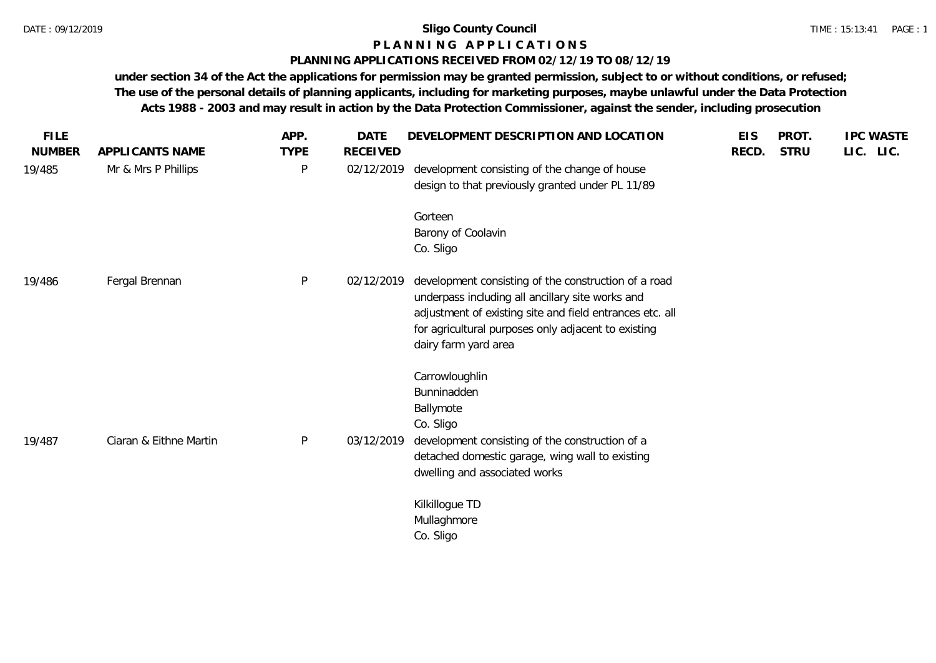## **P L A N N I N G A P P L I C A T I O N S**

#### **PLANNING APPLICATIONS RECEIVED FROM 02/12/19 TO 08/12/19**

**under section 34 of the Act the applications for permission may be granted permission, subject to or without conditions, or refused; The use of the personal details of planning applicants, including for marketing purposes, maybe unlawful under the Data Protection Acts 1988 - 2003 and may result in action by the Data Protection Commissioner, against the sender, including prosecution**

| <b>FILE</b>   |                        | APP.         | <b>DATE</b>     | DEVELOPMENT DESCRIPTION AND LOCATION                                                                                                                                                                                                                | <b>EIS</b> | PROT.       | <b>IPC WASTE</b> |
|---------------|------------------------|--------------|-----------------|-----------------------------------------------------------------------------------------------------------------------------------------------------------------------------------------------------------------------------------------------------|------------|-------------|------------------|
| <b>NUMBER</b> | APPLICANTS NAME        | <b>TYPE</b>  | <b>RECEIVED</b> |                                                                                                                                                                                                                                                     | RECD.      | <b>STRU</b> | LIC. LIC.        |
| 19/485        | Mr & Mrs P Phillips    | $\mathsf{P}$ | 02/12/2019      | development consisting of the change of house<br>design to that previously granted under PL 11/89                                                                                                                                                   |            |             |                  |
|               |                        |              |                 | Gorteen                                                                                                                                                                                                                                             |            |             |                  |
|               |                        |              |                 | Barony of Coolavin<br>Co. Sligo                                                                                                                                                                                                                     |            |             |                  |
| 19/486        | Fergal Brennan         | $\mathsf{P}$ | 02/12/2019      | development consisting of the construction of a road<br>underpass including all ancillary site works and<br>adjustment of existing site and field entrances etc. all<br>for agricultural purposes only adjacent to existing<br>dairy farm yard area |            |             |                  |
| 19/487        | Ciaran & Eithne Martin | $\mathsf{P}$ | 03/12/2019      | Carrowloughlin<br>Bunninadden<br>Ballymote<br>Co. Sligo<br>development consisting of the construction of a<br>detached domestic garage, wing wall to existing<br>dwelling and associated works                                                      |            |             |                  |
|               |                        |              |                 | Kilkillogue TD<br>Mullaghmore<br>Co. Sligo                                                                                                                                                                                                          |            |             |                  |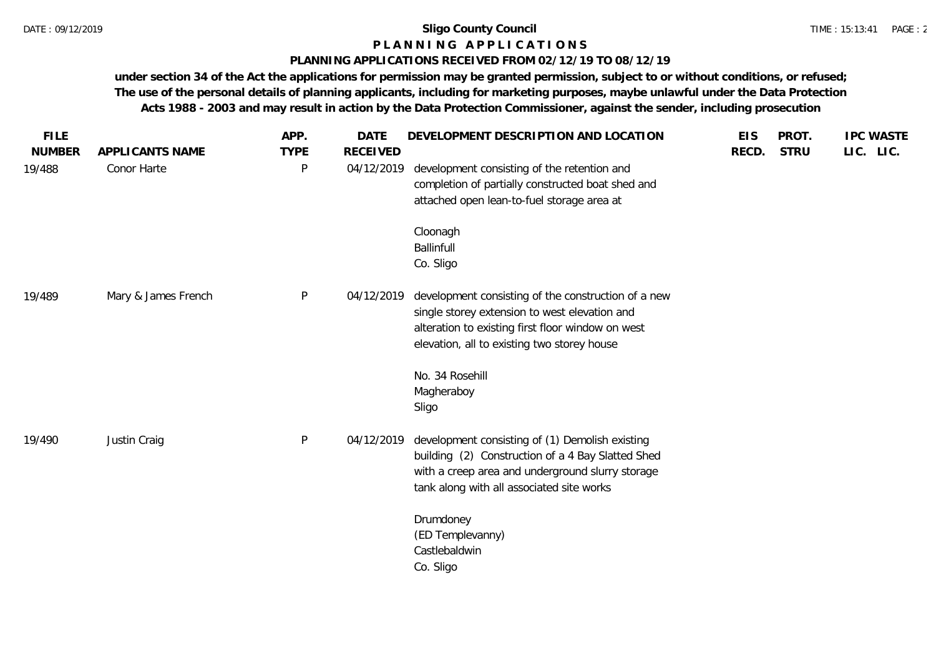## **P L A N N I N G A P P L I C A T I O N S**

#### **PLANNING APPLICATIONS RECEIVED FROM 02/12/19 TO 08/12/19**

**under section 34 of the Act the applications for permission may be granted permission, subject to or without conditions, or refused; The use of the personal details of planning applicants, including for marketing purposes, maybe unlawful under the Data Protection Acts 1988 - 2003 and may result in action by the Data Protection Commissioner, against the sender, including prosecution**

| <b>FILE</b>   |                     | APP.        | <b>DATE</b>     | DEVELOPMENT DESCRIPTION AND LOCATION                                                                                                                                                                     | <b>EIS</b> | PROT.       | <b>IPC WASTE</b> |
|---------------|---------------------|-------------|-----------------|----------------------------------------------------------------------------------------------------------------------------------------------------------------------------------------------------------|------------|-------------|------------------|
| <b>NUMBER</b> | APPLICANTS NAME     | <b>TYPE</b> | <b>RECEIVED</b> |                                                                                                                                                                                                          | RECD.      | <b>STRU</b> | LIC. LIC.        |
| 19/488        | Conor Harte         | P           | 04/12/2019      | development consisting of the retention and<br>completion of partially constructed boat shed and<br>attached open lean-to-fuel storage area at                                                           |            |             |                  |
|               |                     |             |                 | Cloonagh<br>Ballinfull<br>Co. Sligo                                                                                                                                                                      |            |             |                  |
| 19/489        | Mary & James French | P           | 04/12/2019      | development consisting of the construction of a new<br>single storey extension to west elevation and<br>alteration to existing first floor window on west<br>elevation, all to existing two storey house |            |             |                  |
|               |                     |             |                 | No. 34 Rosehill<br>Magheraboy<br>Sligo                                                                                                                                                                   |            |             |                  |
| 19/490        | Justin Craig        | P           | 04/12/2019      | development consisting of (1) Demolish existing<br>building (2) Construction of a 4 Bay Slatted Shed<br>with a creep area and underground slurry storage<br>tank along with all associated site works    |            |             |                  |
|               |                     |             |                 | Drumdoney<br>(ED Templevanny)<br>Castlebaldwin<br>Co. Sligo                                                                                                                                              |            |             |                  |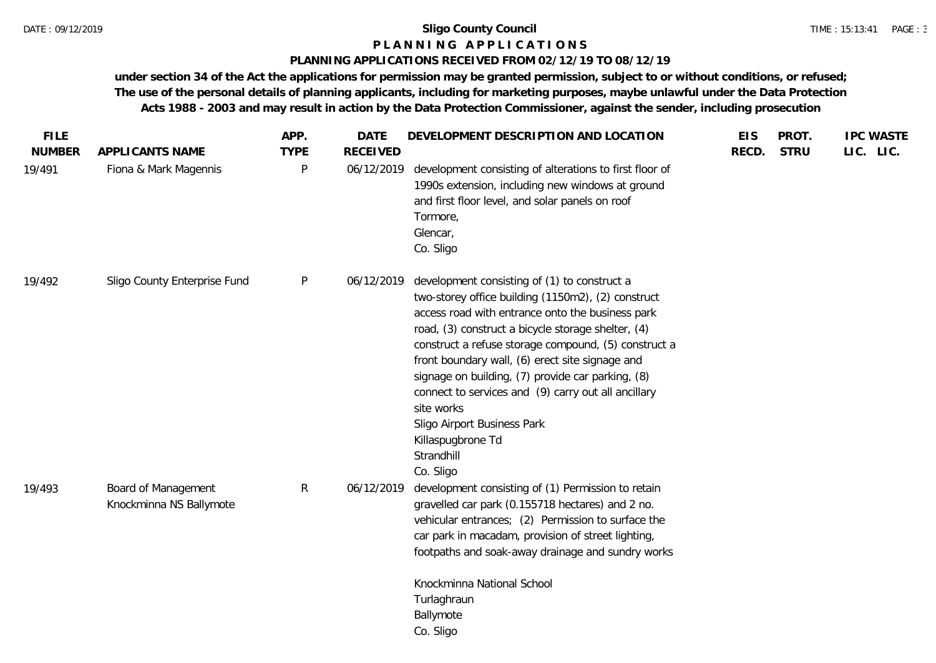#### **P L A N N I N G A P P L I C A T I O N S**

#### **PLANNING APPLICATIONS RECEIVED FROM 02/12/19 TO 08/12/19**

**under section 34 of the Act the applications for permission may be granted permission, subject to or without conditions, or refused; The use of the personal details of planning applicants, including for marketing purposes, maybe unlawful under the Data Protection Acts 1988 - 2003 and may result in action by the Data Protection Commissioner, against the sender, including prosecution**

| <b>FILE</b><br><b>NUMBER</b> | APPLICANTS NAME                                | APP.<br><b>TYPE</b> | <b>DATE</b><br><b>RECEIVED</b> | DEVELOPMENT DESCRIPTION AND LOCATION                                                                                                                                                                                                                                                                                                                                                                                                                                                                                             | <b>EIS</b><br>RECD. | PROT.<br><b>STRU</b> | <b>IPC WASTE</b><br>LIC. LIC. |
|------------------------------|------------------------------------------------|---------------------|--------------------------------|----------------------------------------------------------------------------------------------------------------------------------------------------------------------------------------------------------------------------------------------------------------------------------------------------------------------------------------------------------------------------------------------------------------------------------------------------------------------------------------------------------------------------------|---------------------|----------------------|-------------------------------|
| 19/491                       | Fiona & Mark Magennis                          | P                   | 06/12/2019                     | development consisting of alterations to first floor of<br>1990s extension, including new windows at ground<br>and first floor level, and solar panels on roof<br>Tormore,<br>Glencar,<br>Co. Sligo                                                                                                                                                                                                                                                                                                                              |                     |                      |                               |
| 19/492                       | Sligo County Enterprise Fund                   | P                   | 06/12/2019                     | development consisting of (1) to construct a<br>two-storey office building (1150m2), (2) construct<br>access road with entrance onto the business park<br>road, (3) construct a bicycle storage shelter, (4)<br>construct a refuse storage compound, (5) construct a<br>front boundary wall, (6) erect site signage and<br>signage on building, (7) provide car parking, (8)<br>connect to services and (9) carry out all ancillary<br>site works<br>Sligo Airport Business Park<br>Killaspugbrone Td<br>Strandhill<br>Co. Sligo |                     |                      |                               |
| 19/493                       | Board of Management<br>Knockminna NS Ballymote | R                   | 06/12/2019                     | development consisting of (1) Permission to retain<br>gravelled car park (0.155718 hectares) and 2 no.<br>vehicular entrances; (2) Permission to surface the<br>car park in macadam, provision of street lighting,<br>footpaths and soak-away drainage and sundry works<br>Knockminna National School<br>Turlaghraun<br>Ballymote<br>Co. Sligo                                                                                                                                                                                   |                     |                      |                               |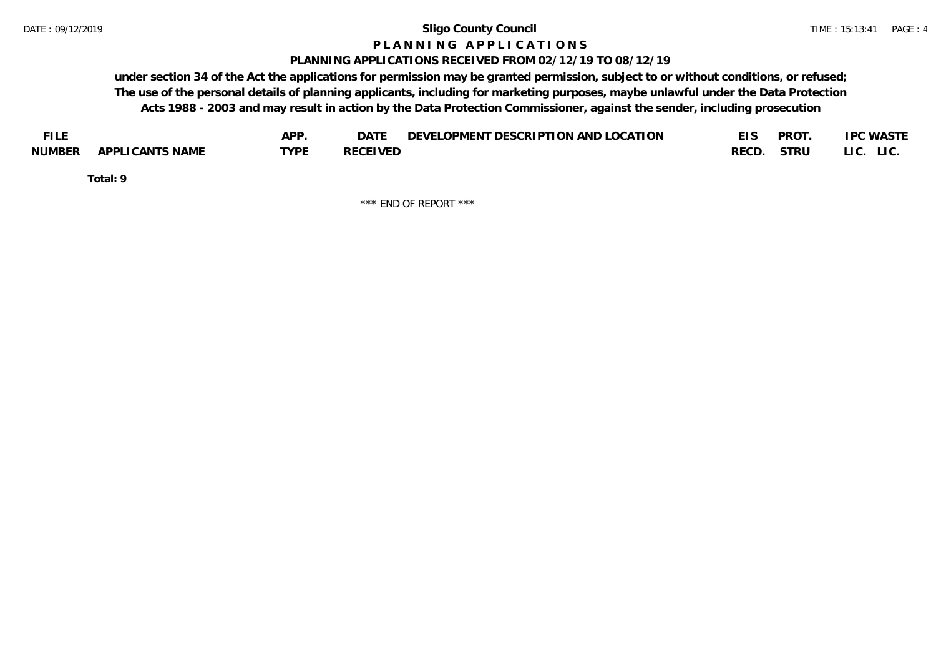#### **P L A N N I N G A P P L I C A T I O N S**

#### **PLANNING APPLICATIONS RECEIVED FROM 02/12/19 TO 08/12/19**

**under section 34 of the Act the applications for permission may be granted permission, subject to or without conditions, or refused; The use of the personal details of planning applicants, including for marketing purposes, maybe unlawful under the Data Protection Acts 1988 - 2003 and may result in action by the Data Protection Commissioner, against the sender, including prosecution**

| <b>FILE</b> |                 | APP. | DATE            | DEVELOPMENT DESCRIPTION AND LOCATION |       | <b>PROT</b> | <b>IPC WASTE</b> |
|-------------|-----------------|------|-----------------|--------------------------------------|-------|-------------|------------------|
| NUMBER      | APPLICANTS NAME | TVDF | <b>RECEIVED</b> |                                      | RECD. | STRU        | LI C.<br>LIC.    |

**Total: 9**

\*\*\* END OF REPORT \*\*\*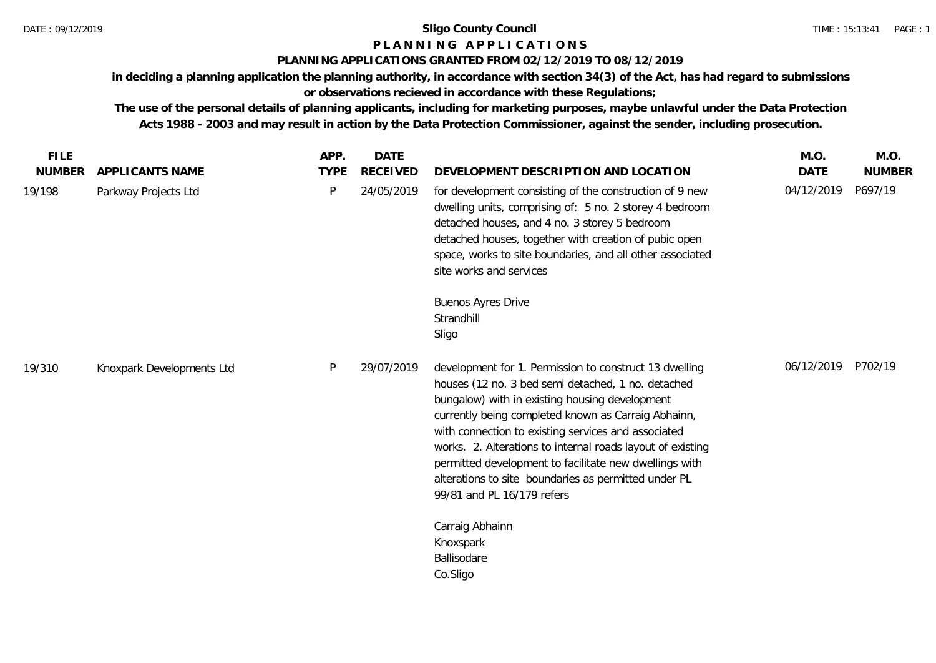# **P L A N N I N G A P P L I C A T I O N S**

## **PLANNING APPLICATIONS GRANTED FROM 02/12/2019 TO 08/12/2019**

**in deciding a planning application the planning authority, in accordance with section 34(3) of the Act, has had regard to submissions or observations recieved in accordance with these Regulations;**

**The use of the personal details of planning applicants, including for marketing purposes, maybe unlawful under the Data Protection Acts 1988 - 2003 and may result in action by the Data Protection Commissioner, against the sender, including prosecution.**

| <b>FILE</b>   |                           | APP.        | <b>DATE</b>     |                                                                                                                                                                                                                                                                                                                                                                                                                                                                                                                            | M.O.        | M.O.          |
|---------------|---------------------------|-------------|-----------------|----------------------------------------------------------------------------------------------------------------------------------------------------------------------------------------------------------------------------------------------------------------------------------------------------------------------------------------------------------------------------------------------------------------------------------------------------------------------------------------------------------------------------|-------------|---------------|
| <b>NUMBER</b> | APPLICANTS NAME           | <b>TYPE</b> | <b>RECEIVED</b> | DEVELOPMENT DESCRIPTION AND LOCATION                                                                                                                                                                                                                                                                                                                                                                                                                                                                                       | <b>DATE</b> | <b>NUMBER</b> |
| 19/198        | Parkway Projects Ltd      | P           | 24/05/2019      | for development consisting of the construction of 9 new<br>dwelling units, comprising of: 5 no. 2 storey 4 bedroom<br>detached houses, and 4 no. 3 storey 5 bedroom<br>detached houses, together with creation of pubic open<br>space, works to site boundaries, and all other associated<br>site works and services                                                                                                                                                                                                       | 04/12/2019  | P697/19       |
|               |                           |             |                 | Buenos Ayres Drive                                                                                                                                                                                                                                                                                                                                                                                                                                                                                                         |             |               |
|               |                           |             |                 | Strandhill                                                                                                                                                                                                                                                                                                                                                                                                                                                                                                                 |             |               |
|               |                           |             |                 | Sligo                                                                                                                                                                                                                                                                                                                                                                                                                                                                                                                      |             |               |
| 19/310        | Knoxpark Developments Ltd | P           | 29/07/2019      | development for 1. Permission to construct 13 dwelling<br>houses (12 no. 3 bed semi detached, 1 no. detached<br>bungalow) with in existing housing development<br>currently being completed known as Carraig Abhainn,<br>with connection to existing services and associated<br>works. 2. Alterations to internal roads layout of existing<br>permitted development to facilitate new dwellings with<br>alterations to site boundaries as permitted under PL<br>99/81 and PL 16/179 refers<br>Carraig Abhainn<br>Knoxspark | 06/12/2019  | P702/19       |
|               |                           |             |                 | Ballisodare                                                                                                                                                                                                                                                                                                                                                                                                                                                                                                                |             |               |
|               |                           |             |                 | Co.Sligo                                                                                                                                                                                                                                                                                                                                                                                                                                                                                                                   |             |               |
|               |                           |             |                 |                                                                                                                                                                                                                                                                                                                                                                                                                                                                                                                            |             |               |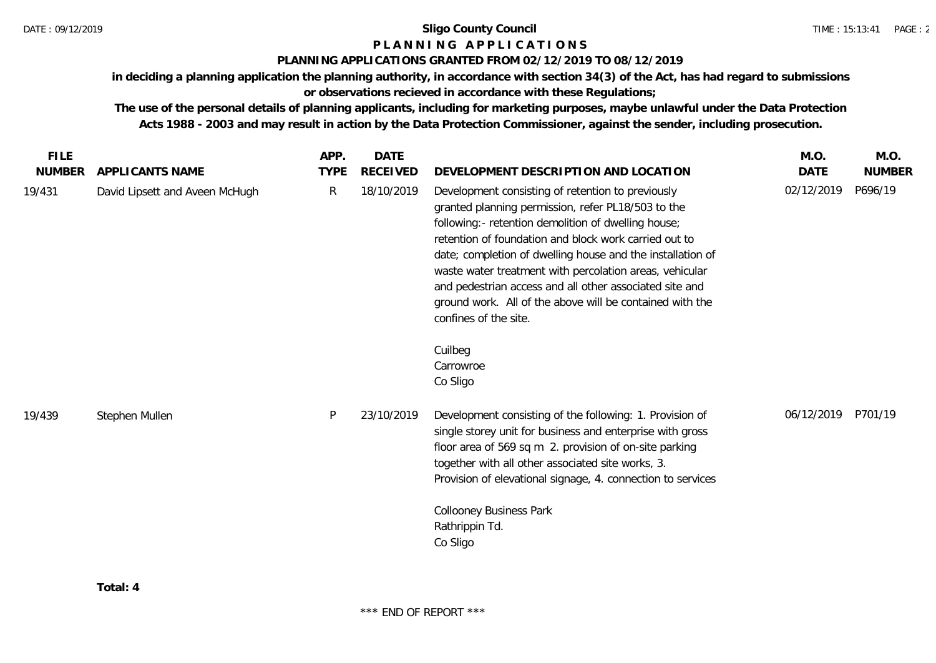## **P L A N N I N G A P P L I C A T I O N S**

### **PLANNING APPLICATIONS GRANTED FROM 02/12/2019 TO 08/12/2019**

**in deciding a planning application the planning authority, in accordance with section 34(3) of the Act, has had regard to submissions or observations recieved in accordance with these Regulations;**

**The use of the personal details of planning applicants, including for marketing purposes, maybe unlawful under the Data Protection Acts 1988 - 2003 and may result in action by the Data Protection Commissioner, against the sender, including prosecution.**

| <b>FILE</b>   |                                | APP.         | <b>DATE</b>     |                                                                                                                                                                                                                                                                                                                                                                                                                                                                                                                          | M.O.       | M.O.          |
|---------------|--------------------------------|--------------|-----------------|--------------------------------------------------------------------------------------------------------------------------------------------------------------------------------------------------------------------------------------------------------------------------------------------------------------------------------------------------------------------------------------------------------------------------------------------------------------------------------------------------------------------------|------------|---------------|
| <b>NUMBER</b> | APPLICANTS NAME                | <b>TYPE</b>  | <b>RECEIVED</b> | DEVELOPMENT DESCRIPTION AND LOCATION                                                                                                                                                                                                                                                                                                                                                                                                                                                                                     | DATE       | <b>NUMBER</b> |
| 19/431        | David Lipsett and Aveen McHugh | $\mathsf{R}$ | 18/10/2019      | Development consisting of retention to previously<br>granted planning permission, refer PL18/503 to the<br>following:- retention demolition of dwelling house;<br>retention of foundation and block work carried out to<br>date; completion of dwelling house and the installation of<br>waste water treatment with percolation areas, vehicular<br>and pedestrian access and all other associated site and<br>ground work. All of the above will be contained with the<br>confines of the site.<br>Cuilbeg<br>Carrowroe | 02/12/2019 | P696/19       |
|               |                                |              |                 | Co Sligo                                                                                                                                                                                                                                                                                                                                                                                                                                                                                                                 |            |               |
| 19/439        | Stephen Mullen                 | P            | 23/10/2019      | Development consisting of the following: 1. Provision of<br>single storey unit for business and enterprise with gross<br>floor area of 569 sq m 2. provision of on-site parking<br>together with all other associated site works, 3.<br>Provision of elevational signage, 4. connection to services                                                                                                                                                                                                                      | 06/12/2019 | P701/19       |
|               |                                |              |                 | <b>Collooney Business Park</b><br>Rathrippin Td.<br>Co Sligo                                                                                                                                                                                                                                                                                                                                                                                                                                                             |            |               |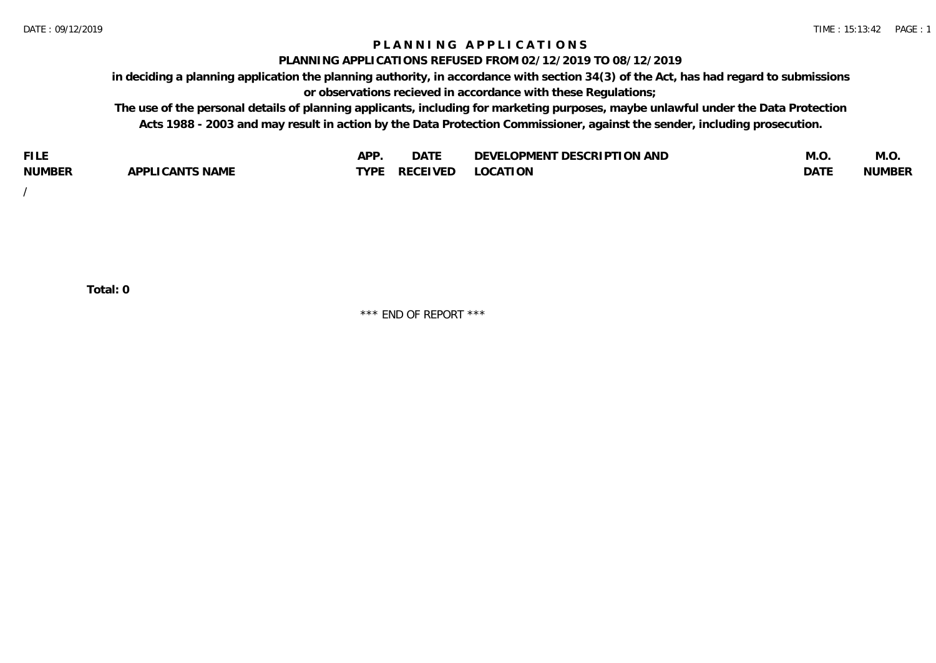### **P L A N N I N G A P P L I C A T I O N S**

#### **PLANNING APPLICATIONS REFUSED FROM 02/12/2019 TO 08/12/2019**

**in deciding a planning application the planning authority, in accordance with section 34(3) of the Act, has had regard to submissions or observations recieved in accordance with these Regulations;**

**The use of the personal details of planning applicants, including for marketing purposes, maybe unlawful under the Data Protection Acts 1988 - 2003 and may result in action by the Data Protection Commissioner, against the sender, including prosecution.**

| <b>FILE</b>   |                                                     | A DE | $\sim$ $\sim$ $\sim$<br>DA I | <b>ENT DESCRIPTION AND</b><br>$\cap$ nn.<br>)E\/F<br>. JIEN L<br>பட | IVI.U       | IVI.U         |
|---------------|-----------------------------------------------------|------|------------------------------|---------------------------------------------------------------------|-------------|---------------|
| <b>NUMBER</b> | <b>ANTS NAME</b><br>A DDI<br>$\sqrt{2}$<br>CAN<br>u | TVDL | ◡⊢                           | <b>OCATION</b>                                                      | <b>DATF</b> | <b>NUMBER</b> |

/

**Total: 0**

\*\*\* END OF REPORT \*\*\*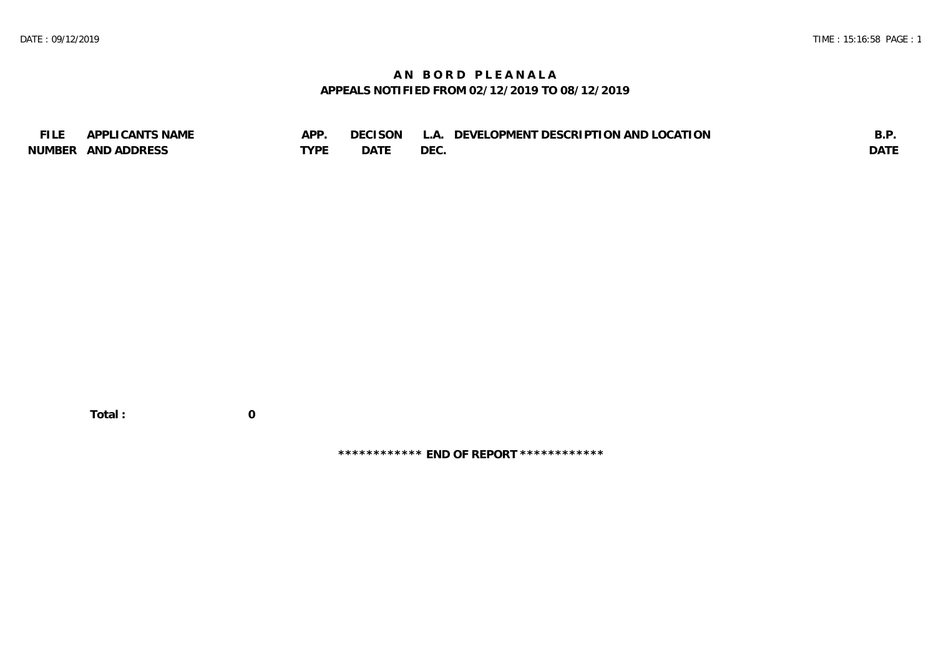## **A N B O R D P L E A N A L A APPEALS NOTIFIED FROM 02/12/2019 TO 08/12/2019**

| <b>FILE</b> | APPLICANTS NAME    | APP  | DECISON L   | L.A. DEVELOPMENT DESCRIPTION AND LOCATION | B.F         |
|-------------|--------------------|------|-------------|-------------------------------------------|-------------|
|             | NUMBER AND ADDRESS | TYPE | <b>DATE</b> | <b>DEC</b>                                | <b>DATE</b> |

 **Total : 0**

**\*\*\*\*\*\*\*\*\*\*\*\* END OF REPORT \*\*\*\*\*\*\*\*\*\*\*\***